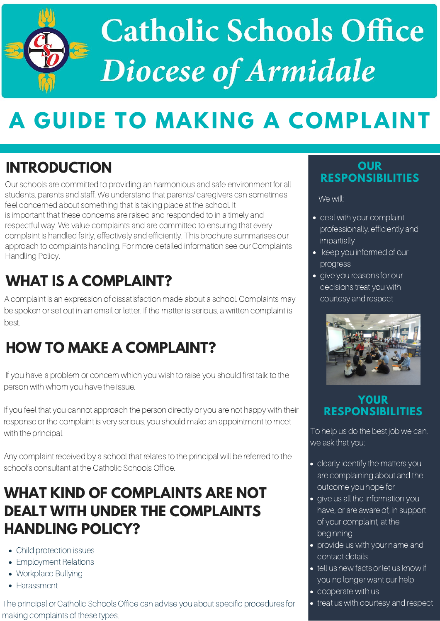# **Catholic Schools Office<br>Diocese of Armidale**

# **A GUIDE TO MAKING A COMPLAINT**

Our schools are committed to providing an harmonious and safe environment for all students, parents and staff. We understand that parents/ caregivers can sometimes feel concerned about something that is taking place at the school. It is important that these concerns are raised and responded to in a timely and respectful way. We value complaints and are committed to ensuring that every complaint is handled fairly, effectively and efficiently. This brochure summarises our approach to complaints handling. For more detailed information see our Complaints Handling Policy.

If you feel that you cannot approach the person directly or you are not happy with their response or the complaint is very serious, you should make an appointment to meet with the principal.

### **OUR RESPONSIBILITIES**

The principal or Catholic Schools Office can advise you about specific procedures for making complaints of these types.

# **WHAT IS A COMPLAINT?**

A complaint is an expression of dissatisfaction made about a school. Complaints may be spoken or set out in an email or letter. If the matter is serious, a written complaint is best.

- deal with your complaint professionally, efficiently and impartially
- keep you informed of our progress
- **•** give you reasons for our decisions treat you with courtesy and respect



# **HOW TO MAKE A COMPLAINT?**

If you have a problem or concern which you wish to raise you should first talk to the person with whom you have the issue.

Any complaint received by a school that relates to the principal will be referred to the school's consultant at the Catholic Schools Office.

# **INTRODUCTION**

# **WHAT KIND OF COMPLAINTS ARE NOT DEALT WITH UNDER THE COMPLAINTS HANDLING POLICY?**

- Child protection issues
- Employment Relations
- Workplace Bullying
- Harassment

We will:

### **Y0UR RESPONSIBILITIES**

To help us do the best job we can, we ask that you:

- clearly identify the matters you are complaining about and the outcome you hope for
- **.** give us all the information you have, or are aware of, in support of your complaint, at the beginning
- **•** provide us with your name and contact details
- tell us new facts or let us know if you no longer want our help
- cooperate with us
- **•** treat us with courtesy and respect